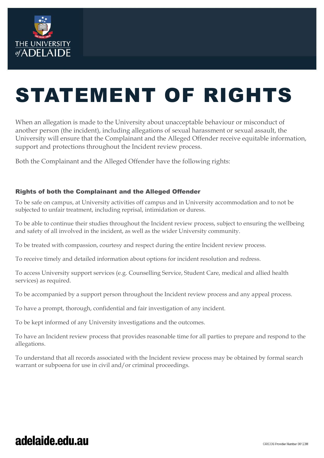

# STATEMENT OF RIGHTS

When an allegation is made to the University about unacceptable behaviour or misconduct of another person (the incident), including allegations of sexual harassment or sexual assault, the University will ensure that the Complainant and the Alleged Offender receive equitable information, support and protections throughout the Incident review process.

Both the Complainant and the Alleged Offender have the following rights:

#### Rights of both the Complainant and the Alleged Offender

To be safe on campus, at University activities off campus and in University accommodation and to not be subjected to unfair treatment, including reprisal, intimidation or duress.

To be able to continue their studies throughout the Incident review process, subject to ensuring the wellbeing and safety of all involved in the incident, as well as the wider University community.

To be treated with compassion, courtesy and respect during the entire Incident review process.

To receive timely and detailed information about options for incident resolution and redress.

To access University support services (e.g. Counselling Service, Student Care, medical and allied health services) as required.

To be accompanied by a support person throughout the Incident review process and any appeal process.

To have a prompt, thorough, confidential and fair investigation of any incident.

To be kept informed of any University investigations and the outcomes.

To have an Incident review process that provides reasonable time for all parties to prepare and respond to the allegations.

To understand that all records associated with the Incident review process may be obtained by formal search warrant or subpoena for use in civil and/or criminal proceedings.

## adelaide.edu.au